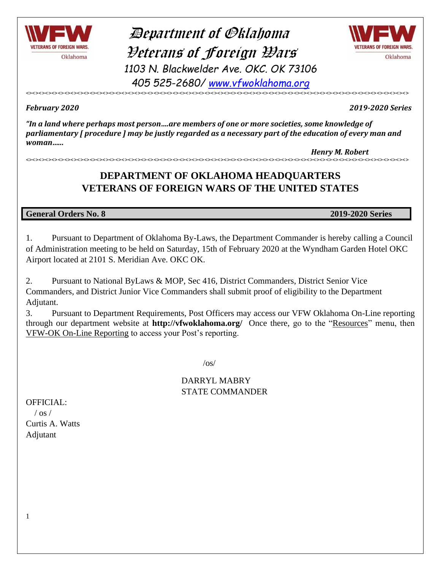

### Department of Oklahoma Veterans of Foreign Wars *1103 N. Blackwelder Ave. OKC. OK 73106 405 525-2680/ [www.vfwoklahoma.org](http://www.vfwoklahoma.org/)*



<><><><><><><><><><><><><><><><><><><><><><><><><><><><><><><><><><><><><><><><><><><><><><><><><><><><><><><><><><><><> *February <sup>2020</sup> 2019-2020 Series*

*"In a land where perhaps most person….are members of one or more societies, some knowledge of parliamentary [ procedure ] may be justly regarded as a necessary part of the education of every man and woman…...*

*Henry M. Robert* <><><><><><><><><><><><><><><><><><><><><><><><><><><><><><><><><><><><><><><><><><><><><><><><><><><><><><><><><><><><>

### **DEPARTMENT OF OKLAHOMA HEADQUARTERS VETERANS OF FOREIGN WARS OF THE UNITED STATES**

#### **General Orders No. 8 2019-2020 Series**

1. Pursuant to Department of Oklahoma By-Laws, the Department Commander is hereby calling a Council of Administration meeting to be held on Saturday, 15th of February 2020 at the Wyndham Garden Hotel OKC Airport located at 2101 S. Meridian Ave. OKC OK.

2. Pursuant to National ByLaws & MOP, Sec 416, District Commanders, District Senior Vice Commanders, and District Junior Vice Commanders shall submit proof of eligibility to the Department Adjutant.

3. Pursuant to Department Requirements, Post Officers may access our VFW Oklahoma On-Line reporting through our department website at **http://vfwoklahoma.org/** Once there, go to the "Resources" menu, then VFW-OK On-Line Reporting to access your Post's reporting.

 $\sqrt{OS}$ 

DARRYL MABRY STATE COMMANDER

OFFICIAL:  $/$  os  $/$ Curtis A. Watts Adjutant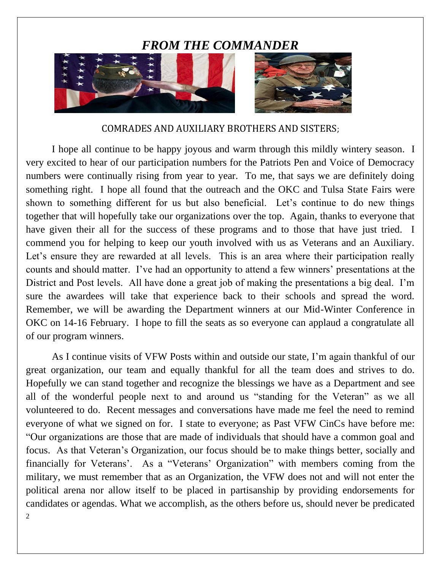### *FROM THE COMMANDER*



#### COMRADES AND AUXILIARY BROTHERS AND SISTERS;

I hope all continue to be happy joyous and warm through this mildly wintery season. I very excited to hear of our participation numbers for the Patriots Pen and Voice of Democracy numbers were continually rising from year to year. To me, that says we are definitely doing something right. I hope all found that the outreach and the OKC and Tulsa State Fairs were shown to something different for us but also beneficial. Let's continue to do new things together that will hopefully take our organizations over the top. Again, thanks to everyone that have given their all for the success of these programs and to those that have just tried. I commend you for helping to keep our youth involved with us as Veterans and an Auxiliary. Let's ensure they are rewarded at all levels. This is an area where their participation really counts and should matter. I've had an opportunity to attend a few winners' presentations at the District and Post levels. All have done a great job of making the presentations a big deal. I'm sure the awardees will take that experience back to their schools and spread the word. Remember, we will be awarding the Department winners at our Mid-Winter Conference in OKC on 14-16 February. I hope to fill the seats as so everyone can applaud a congratulate all of our program winners.

2 As I continue visits of VFW Posts within and outside our state, I'm again thankful of our great organization, our team and equally thankful for all the team does and strives to do. Hopefully we can stand together and recognize the blessings we have as a Department and see all of the wonderful people next to and around us "standing for the Veteran" as we all volunteered to do. Recent messages and conversations have made me feel the need to remind everyone of what we signed on for. I state to everyone; as Past VFW CinCs have before me: "Our organizations are those that are made of individuals that should have a common goal and focus. As that Veteran's Organization, our focus should be to make things better, socially and financially for Veterans'. As a "Veterans' Organization" with members coming from the military, we must remember that as an Organization, the VFW does not and will not enter the political arena nor allow itself to be placed in partisanship by providing endorsements for candidates or agendas. What we accomplish, as the others before us, should never be predicated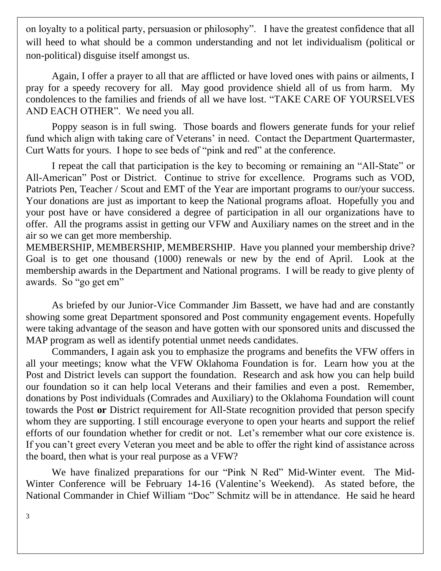on loyalty to a political party, persuasion or philosophy". I have the greatest confidence that all will heed to what should be a common understanding and not let individualism (political or non-political) disguise itself amongst us.

Again, I offer a prayer to all that are afflicted or have loved ones with pains or ailments, I pray for a speedy recovery for all. May good providence shield all of us from harm. My condolences to the families and friends of all we have lost. "TAKE CARE OF YOURSELVES AND EACH OTHER". We need you all.

Poppy season is in full swing. Those boards and flowers generate funds for your relief fund which align with taking care of Veterans' in need. Contact the Department Quartermaster, Curt Watts for yours. I hope to see beds of "pink and red" at the conference.

I repeat the call that participation is the key to becoming or remaining an "All-State" or All-American" Post or District. Continue to strive for excellence. Programs such as VOD, Patriots Pen, Teacher / Scout and EMT of the Year are important programs to our/your success. Your donations are just as important to keep the National programs afloat. Hopefully you and your post have or have considered a degree of participation in all our organizations have to offer. All the programs assist in getting our VFW and Auxiliary names on the street and in the air so we can get more membership.

MEMBERSHIP, MEMBERSHIP, MEMBERSHIP. Have you planned your membership drive? Goal is to get one thousand (1000) renewals or new by the end of April. Look at the membership awards in the Department and National programs. I will be ready to give plenty of awards. So "go get em"

As briefed by our Junior-Vice Commander Jim Bassett, we have had and are constantly showing some great Department sponsored and Post community engagement events. Hopefully were taking advantage of the season and have gotten with our sponsored units and discussed the MAP program as well as identify potential unmet needs candidates.

Commanders, I again ask you to emphasize the programs and benefits the VFW offers in all your meetings; know what the VFW Oklahoma Foundation is for. Learn how you at the Post and District levels can support the foundation. Research and ask how you can help build our foundation so it can help local Veterans and their families and even a post. Remember, donations by Post individuals (Comrades and Auxiliary) to the Oklahoma Foundation will count towards the Post **or** District requirement for All-State recognition provided that person specify whom they are supporting. I still encourage everyone to open your hearts and support the relief efforts of our foundation whether for credit or not. Let's remember what our core existence is. If you can't greet every Veteran you meet and be able to offer the right kind of assistance across the board, then what is your real purpose as a VFW?

We have finalized preparations for our "Pink N Red" Mid-Winter event. The Mid-Winter Conference will be February 14-16 (Valentine's Weekend). As stated before, the National Commander in Chief William "Doc" Schmitz will be in attendance. He said he heard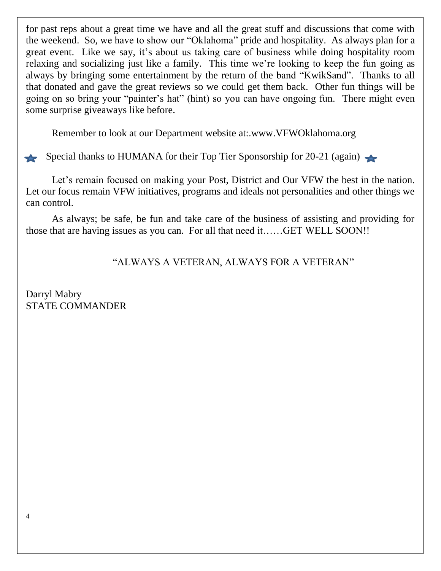for past reps about a great time we have and all the great stuff and discussions that come with the weekend. So, we have to show our "Oklahoma" pride and hospitality. As always plan for a great event. Like we say, it's about us taking care of business while doing hospitality room relaxing and socializing just like a family. This time we're looking to keep the fun going as always by bringing some entertainment by the return of the band "KwikSand". Thanks to all that donated and gave the great reviews so we could get them back. Other fun things will be going on so bring your "painter's hat" (hint) so you can have ongoing fun. There might even some surprise giveaways like before.

Remember to look at our Department website at:.www.VFWOklahoma.org

Special thanks to HUMANA for their Top Tier Sponsorship for 20-21 (again)

Let's remain focused on making your Post, District and Our VFW the best in the nation. Let our focus remain VFW initiatives, programs and ideals not personalities and other things we can control.

As always; be safe, be fun and take care of the business of assisting and providing for those that are having issues as you can. For all that need it……GET WELL SOON!!

"ALWAYS A VETERAN, ALWAYS FOR A VETERAN"

Darryl Mabry STATE COMMANDER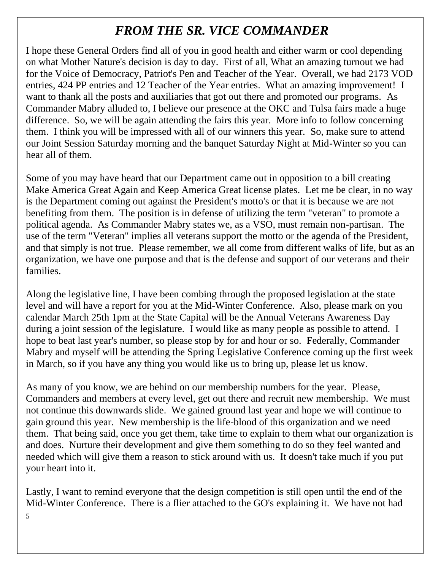### *FROM THE SR. VICE COMMANDER*

I hope these General Orders find all of you in good health and either warm or cool depending on what Mother Nature's decision is day to day. First of all, What an amazing turnout we had for the Voice of Democracy, Patriot's Pen and Teacher of the Year. Overall, we had 2173 VOD entries, 424 PP entries and 12 Teacher of the Year entries. What an amazing improvement! I want to thank all the posts and auxiliaries that got out there and promoted our programs. As Commander Mabry alluded to, I believe our presence at the OKC and Tulsa fairs made a huge difference. So, we will be again attending the fairs this year. More info to follow concerning them. I think you will be impressed with all of our winners this year. So, make sure to attend our Joint Session Saturday morning and the banquet Saturday Night at Mid-Winter so you can hear all of them.

Some of you may have heard that our Department came out in opposition to a bill creating Make America Great Again and Keep America Great license plates. Let me be clear, in no way is the Department coming out against the President's motto's or that it is because we are not benefiting from them. The position is in defense of utilizing the term "veteran" to promote a political agenda. As Commander Mabry states we, as a VSO, must remain non-partisan. The use of the term "Veteran" implies all veterans support the motto or the agenda of the President, and that simply is not true. Please remember, we all come from different walks of life, but as an organization, we have one purpose and that is the defense and support of our veterans and their families.

Along the legislative line, I have been combing through the proposed legislation at the state level and will have a report for you at the Mid-Winter Conference. Also, please mark on you calendar March 25th 1pm at the State Capital will be the Annual Veterans Awareness Day during a joint session of the legislature. I would like as many people as possible to attend. I hope to beat last year's number, so please stop by for and hour or so. Federally, Commander Mabry and myself will be attending the Spring Legislative Conference coming up the first week in March, so if you have any thing you would like us to bring up, please let us know.

As many of you know, we are behind on our membership numbers for the year. Please, Commanders and members at every level, get out there and recruit new membership. We must not continue this downwards slide. We gained ground last year and hope we will continue to gain ground this year. New membership is the life-blood of this organization and we need them. That being said, once you get them, take time to explain to them what our organization is and does. Nurture their development and give them something to do so they feel wanted and needed which will give them a reason to stick around with us. It doesn't take much if you put your heart into it.

Lastly, I want to remind everyone that the design competition is still open until the end of the Mid-Winter Conference. There is a flier attached to the GO's explaining it. We have not had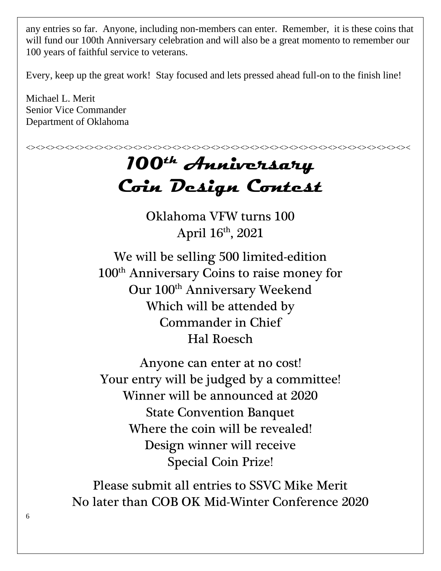any entries so far. Anyone, including non-members can enter. Remember, it is these coins that will fund our 100th Anniversary celebration and will also be a great momento to remember our 100 years of faithful service to veterans.

Every, keep up the great work! Stay focused and lets pressed ahead full-on to the finish line!

Michael L. Merit Senior Vice Commander Department of Oklahoma



Special Coin Prize!

Please submit all entries to SSVC Mike Merit No later than COB OK Mid-Winter Conference 2020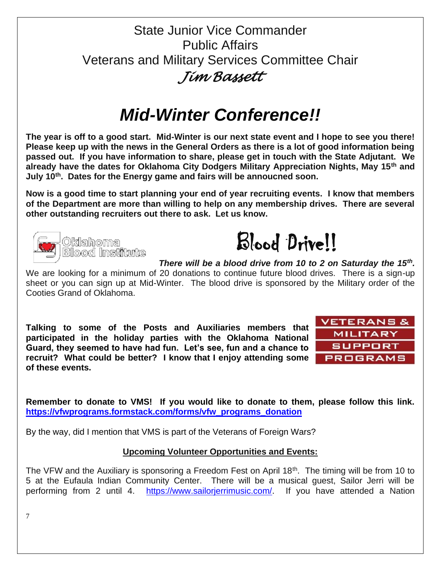### State Junior Vice Commander Public Affairs Veterans and Military Services Committee Chair *Jim Bassett*

# *Mid-Winter Conference!!*

**The year is off to a good start. Mid-Winter is our next state event and I hope to see you there! Please keep up with the news in the General Orders as there is a lot of good information being passed out. If you have information to share, please get in touch with the State Adjutant. We already have the dates for Oklahoma City Dodgers Military Appreciation Nights, May 15th and July 10th. Dates for the Energy game and fairs will be annoucned soon.** 

**Now is a good time to start planning your end of year recruiting events. I know that members of the Department are more than willing to help on any membership drives. There are several other outstanding recruiters out there to ask. Let us know.** 





*There will be a blood drive from 10 to 2 on Saturday the 15th .*

We are looking for a minimum of 20 donations to continue future blood drives. There is a sign-up sheet or you can sign up at Mid-Winter. The blood drive is sponsored by the Military order of the Cooties Grand of Oklahoma.

**Talking to some of the Posts and Auxiliaries members that participated in the holiday parties with the Oklahoma National Guard, they seemed to have had fun. Let's see, fun and a chance to recruit? What could be better? I know that I enjoy attending some of these events.** 



**Remember to donate to VMS! If you would like to donate to them, please follow this link. [https://vfwprograms.formstack.com/forms/vfw\\_programs\\_donation](https://vfwprograms.formstack.com/forms/vfw_programs_donation)**

By the way, did I mention that VMS is part of the Veterans of Foreign Wars?

#### **Upcoming Volunteer Opportunities and Events:**

The VFW and the Auxiliary is sponsoring a Freedom Fest on April 18<sup>th</sup>. The timing will be from 10 to 5 at the Eufaula Indian Community Center. There will be a musical guest, Sailor Jerri will be performing from 2 until 4. [https://www.sailorjerrimusic.com/.](https://www.sailorjerrimusic.com/) If you have attended a Nation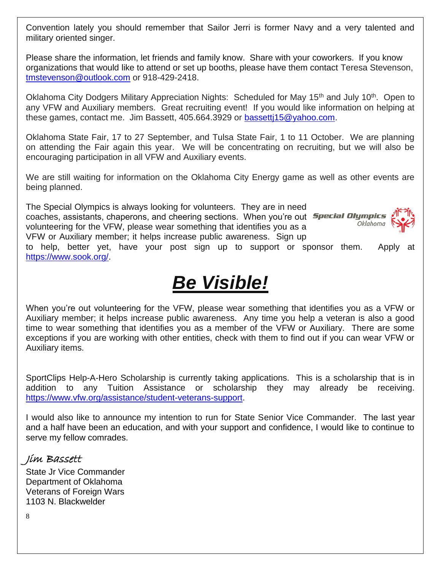Convention lately you should remember that Sailor Jerri is former Navy and a very talented and military oriented singer.

Please share the information, let friends and family know. Share with your coworkers. If you know organizations that would like to attend or set up booths, please have them contact Teresa Stevenson, [tmstevenson@outlook.com](mailto:tmstevenson@outlook.com) or 918-429-2418.

Oklahoma City Dodgers Military Appreciation Nights: Scheduled for May 15<sup>th</sup> and July 10<sup>th</sup>. Open to any VFW and Auxiliary members. Great recruiting event! If you would like information on helping at these games, contact me. Jim Bassett, 405.664.3929 or [bassettj15@yahoo.com.](mailto:bassettj15@yahoo.com)

Oklahoma State Fair, 17 to 27 September, and Tulsa State Fair, 1 to 11 October. We are planning on attending the Fair again this year. We will be concentrating on recruiting, but we will also be encouraging participation in all VFW and Auxiliary events.

We are still waiting for information on the Oklahoma City Energy game as well as other events are being planned.

The Special Olympics is always looking for volunteers. They are in need coaches, assistants, chaperons, and cheering sections. When you're out **Special Olympics** volunteering for the VFW, please wear something that identifies you as a VFW or Auxiliary member; it helps increase public awareness. Sign up



to help, better yet, have your post sign up to support or sponsor them. Apply at [https://www.sook.org/.](https://www.sook.org/)

# *Be Visible!*

When you're out volunteering for the VFW, please wear something that identifies you as a VFW or Auxiliary member; it helps increase public awareness. Any time you help a veteran is also a good time to wear something that identifies you as a member of the VFW or Auxiliary. There are some exceptions if you are working with other entities, check with them to find out if you can wear VFW or Auxiliary items.

SportClips Help-A-Hero Scholarship is currently taking applications. This is a scholarship that is in addition to any Tuition Assistance or scholarship they may already be receiving. [https://www.vfw.org/assistance/student-veterans-support.](https://www.vfw.org/assistance/student-veterans-support)

I would also like to announce my intention to run for State Senior Vice Commander. The last year and a half have been an education, and with your support and confidence, I would like to continue to serve my fellow comrades.

#### Jim Bassett

State Jr Vice Commander Department of Oklahoma Veterans of Foreign Wars 1103 N. Blackwelder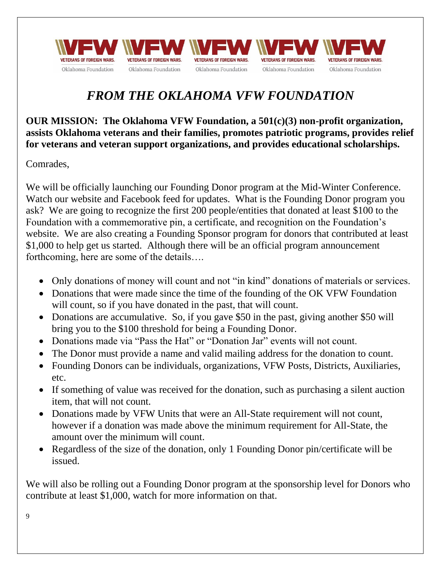

### *FROM THE OKLAHOMA VFW FOUNDATION*

**OUR MISSION: The Oklahoma VFW Foundation, a 501(c)(3) non-profit organization, assists Oklahoma veterans and their families, promotes patriotic programs, provides relief for veterans and veteran support organizations, and provides educational scholarships.**

Comrades,

We will be officially launching our Founding Donor program at the Mid-Winter Conference. Watch our website and Facebook feed for updates. What is the Founding Donor program you ask? We are going to recognize the first 200 people/entities that donated at least \$100 to the Foundation with a commemorative pin, a certificate, and recognition on the Foundation's website. We are also creating a Founding Sponsor program for donors that contributed at least \$1,000 to help get us started. Although there will be an official program announcement forthcoming, here are some of the details….

- Only donations of money will count and not "in kind" donations of materials or services.
- Donations that were made since the time of the founding of the OK VFW Foundation will count, so if you have donated in the past, that will count.
- Donations are accumulative. So, if you gave \$50 in the past, giving another \$50 will bring you to the \$100 threshold for being a Founding Donor.
- Donations made via "Pass the Hat" or "Donation Jar" events will not count.
- The Donor must provide a name and valid mailing address for the donation to count.
- Founding Donors can be individuals, organizations, VFW Posts, Districts, Auxiliaries, etc.
- If something of value was received for the donation, such as purchasing a silent auction item, that will not count.
- Donations made by VFW Units that were an All-State requirement will not count, however if a donation was made above the minimum requirement for All-State, the amount over the minimum will count.
- Regardless of the size of the donation, only 1 Founding Donor pin/certificate will be issued.

We will also be rolling out a Founding Donor program at the sponsorship level for Donors who contribute at least \$1,000, watch for more information on that.

9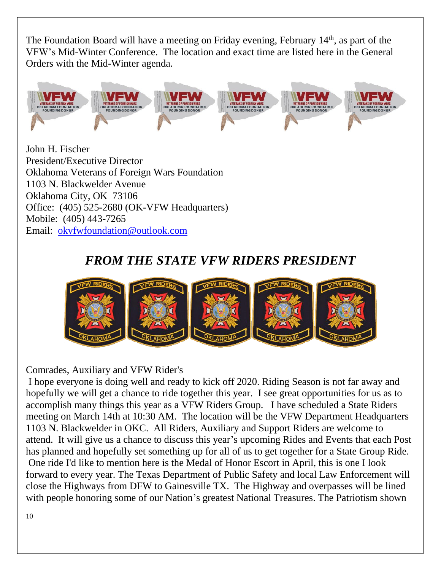The Foundation Board will have a meeting on Friday evening, February  $14<sup>th</sup>$ , as part of the VFW's Mid-Winter Conference. The location and exact time are listed here in the General Orders with the Mid-Winter agenda.



John H. Fischer President/Executive Director Oklahoma Veterans of Foreign Wars Foundation 1103 N. Blackwelder Avenue Oklahoma City, OK 73106 Office: (405) 525-2680 (OK-VFW Headquarters) Mobile: (405) 443-7265 Email: [okvfwfoundation@outlook.com](mailto:okvfwfoundation@outlook.com)

### *FROM THE STATE VFW RIDERS PRESIDENT*



Comrades, Auxiliary and VFW Rider's

I hope everyone is doing well and ready to kick off 2020. Riding Season is not far away and hopefully we will get a chance to ride together this year. I see great opportunities for us as to accomplish many things this year as a VFW Riders Group. I have scheduled a State Riders meeting on March 14th at 10:30 AM. The location will be the VFW Department Headquarters 1103 N. Blackwelder in OKC. All Riders, Auxiliary and Support Riders are welcome to attend. It will give us a chance to discuss this year's upcoming Rides and Events that each Post has planned and hopefully set something up for all of us to get together for a State Group Ride. One ride I'd like to mention here is the Medal of Honor Escort in April, this is one I look forward to every year. The Texas Department of Public Safety and local Law Enforcement will close the Highways from DFW to Gainesville TX. The Highway and overpasses will be lined with people honoring some of our Nation's greatest National Treasures. The Patriotism shown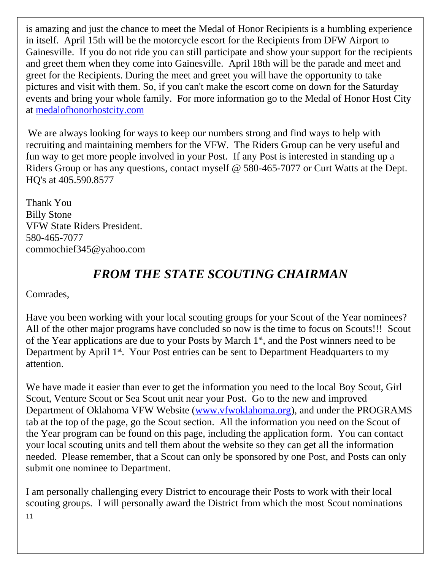is amazing and just the chance to meet the Medal of Honor Recipients is a humbling experience in itself. April 15th will be the motorcycle escort for the Recipients from DFW Airport to Gainesville. If you do not ride you can still participate and show your support for the recipients and greet them when they come into Gainesville. April 18th will be the parade and meet and greet for the Recipients. During the meet and greet you will have the opportunity to take pictures and visit with them. So, if you can't make the escort come on down for the Saturday events and bring your whole family. For more information go to the Medal of Honor Host City at [medalofhonorhostcity.com](http://medalofhonorhostcity.com/) 

We are always looking for ways to keep our numbers strong and find ways to help with recruiting and maintaining members for the VFW. The Riders Group can be very useful and fun way to get more people involved in your Post. If any Post is interested in standing up a Riders Group or has any questions, contact myself @ 580-465-7077 or Curt Watts at the Dept. HQ's at 405.590.8577

Thank You Billy Stone VFW State Riders President. 580-465-7077 [commochief345@yahoo.com](mailto:commochief345@yahoo.com)

### *FROM THE STATE SCOUTING CHAIRMAN*

Comrades,

Have you been working with your local scouting groups for your Scout of the Year nominees? All of the other major programs have concluded so now is the time to focus on Scouts!!! Scout of the Year applications are due to your Posts by March  $1<sup>st</sup>$ , and the Post winners need to be Department by April 1<sup>st</sup>. Your Post entries can be sent to Department Headquarters to my attention.

We have made it easier than ever to get the information you need to the local Boy Scout, Girl Scout, Venture Scout or Sea Scout unit near your Post. Go to the new and improved Department of Oklahoma VFW Website [\(www.vfwoklahoma.org\)](http://www.vfwoklahoma.org/), and under the PROGRAMS tab at the top of the page, go the Scout section. All the information you need on the Scout of the Year program can be found on this page, including the application form. You can contact your local scouting units and tell them about the website so they can get all the information needed. Please remember, that a Scout can only be sponsored by one Post, and Posts can only submit one nominee to Department.

11 I am personally challenging every District to encourage their Posts to work with their local scouting groups. I will personally award the District from which the most Scout nominations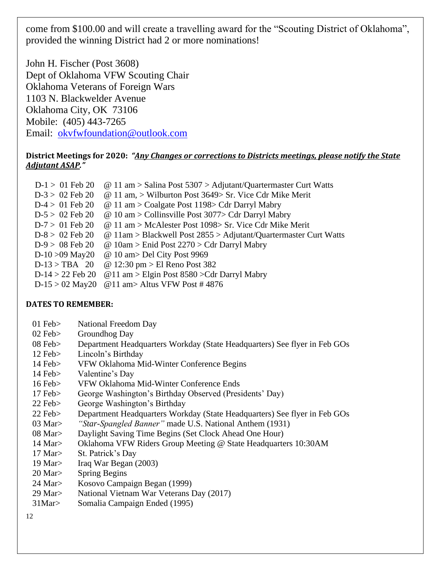come from \$100.00 and will create a travelling award for the "Scouting District of Oklahoma", provided the winning District had 2 or more nominations!

John H. Fischer (Post 3608) Dept of Oklahoma VFW Scouting Chair Oklahoma Veterans of Foreign Wars 1103 N. Blackwelder Avenue Oklahoma City, OK 73106 Mobile: (405) 443-7265 Email: [okvfwfoundation@outlook.com](mailto:okvfwfoundation@outlook.com)

#### **District Meetings for 2020:** *"Any Changes or corrections to Districts meetings, please notify the State Adjutant ASAP."*

| $D-1 > 01$ Feb 20  | $\omega$ 11 am > Salina Post 5307 > Adjutant/Quartermaster Curt Watts   |
|--------------------|-------------------------------------------------------------------------|
| $D-3 > 02$ Feb 20  | @ 11 am, > Wilburton Post $3649$ > Sr. Vice Cdr Mike Merit              |
| $D-4 > 01$ Feb 20  | $\omega$ 11 am > Coalgate Post 1198> Cdr Darryl Mabry                   |
| $D-5 > 02$ Feb 20  | $\omega$ 10 am > Collinsville Post 3077> Cdr Darryl Mabry               |
| $D-7 > 01$ Feb 20  | $\omega$ 11 am > McAlester Post 1098> Sr. Vice Cdr Mike Merit           |
| $D-8 > 02$ Feb 20  | $\omega$ 11am > Blackwell Post 2855 > Adjutant/Quartermaster Curt Watts |
| $D-9 > 08$ Feb 20  | @ 10am > Enid Post $2270$ > Cdr Darryl Mabry                            |
| $D-10 > 09$ May20  | @ 10 am > Del City Post 9969                                            |
| $D-13 > TBA$ 20    | @ 12:30 pm > El Reno Post 382                                           |
| $D-14 > 22$ Feb 20 | @11 am > Elgin Post $8580$ > Cdr Darryl Mabry                           |
| $D-15 > 02$ May20  | @11 am> Altus VFW Post #4876                                            |

#### **DATES TO REMEMBER:**

- 01 Feb> National Freedom Day
- 02 Feb> Groundhog Day
- 08 Feb> Department Headquarters Workday (State Headquarters) See flyer in Feb GOs
- 12 Feb> Lincoln's Birthday
- 14 Feb> VFW Oklahoma Mid-Winter Conference Begins
- 14 Feb> Valentine's Day
- 16 Feb> VFW Oklahoma Mid-Winter Conference Ends
- 17 Feb> George Washington's Birthday Observed (Presidents' Day)
- 22 Feb> George Washington's Birthday
- 22 Feb> Department Headquarters Workday (State Headquarters) See flyer in Feb GOs
- 03 Mar> *"Star-Spangled Banner"* made U.S. National Anthem (1931)
- 08 Mar> Daylight Saving Time Begins (Set Clock Ahead One Hour)
- 14 Mar> Oklahoma VFW Riders Group Meeting @ State Headquarters 10:30AM
- 17 Mar> St. Patrick's Day
- 19 Mar> Iraq War Began (2003)
- 20 Mar> Spring Begins
- 24 Mar> Kosovo Campaign Began (1999)
- 29 Mar> National Vietnam War Veterans Day (2017)
- 31Mar> Somalia Campaign Ended (1995)

12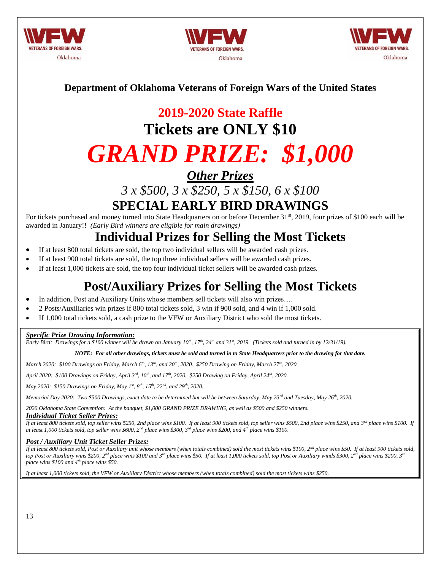





#### **Department of Oklahoma Veterans of Foreign Wars of the United States**

# **2019-2020 State Raffle**

# **Tickets are ONLY \$10**

# *GRAND PRIZE: \$1,000*

*Other Prizes*

*3 x \$500, 3 x \$250, 5 x \$150, 6 x \$100*

### **SPECIAL EARLY BIRD DRAWINGS**

For tickets purchased and money turned into State Headquarters on or before December 31<sup>st</sup>, 2019, four prizes of \$100 each will be awarded in January!! *(Early Bird winners are eligible for main drawings)*

### **Individual Prizes for Selling the Most Tickets**

- If at least 800 total tickets are sold, the top two individual sellers will be awarded cash prizes.
- If at least 900 total tickets are sold, the top three individual sellers will be awarded cash prizes.
- If at least 1,000 tickets are sold, the top four individual ticket sellers will be awarded cash prizes.

### **Post/Auxiliary Prizes for Selling the Most Tickets**

- In addition, Post and Auxiliary Units whose members sell tickets will also win prizes….
- 2 Posts/Auxiliaries win prizes if 800 total tickets sold, 3 win if 900 sold, and 4 win if 1,000 sold.
- If 1,000 total tickets sold, a cash prize to the VFW or Auxiliary District who sold the most tickets.

#### *Specific Prize Drawing Information:*

*Early Bird: Drawings for a \$100 winner will be drawn on January*  $10^{th}$ *,*  $17^{th}$ *,*  $24^{th}$  *and*  $31^{st}$ *, 2019. (Tickets sold and turned in by*  $12/31/19$ *).* 

*NOTE: For all other drawings, tickets must be sold and turned in to State Headquarters prior to the drawing for that date.*

*March 2020: \$100 Drawings on Friday, March 6th, 13th, and 20th, 2020. \$250 Drawing on Friday, March 27th, 2020.*

*April 2020: \$100 Drawings on Friday, April 3rd, 10th, and 17th, 2020. \$250 Drawing on Friday, April 24th, 2020.*

*May 2020: \$150 Drawings on Friday, May 1st, 8th, 15th, 22nd, and 29th, 2020.*

*Memorial Day 2020: Two \$500 Drawings, exact date to be determined but will be between Saturday, May 23rd and Tuesday, May 26th, 2020.*

*2020 Oklahoma State Convention: At the banquet, \$1,000 GRAND PRIZE DRAWING, as well as \$500 and \$250 winners.*

#### *Individual Ticket Seller Prizes:*

*If at least 800 tickets sold, top seller wins \$250, 2nd place wins \$100. If at least 900 tickets sold, top seller wins \$500, 2nd place wins \$250, and 3rd place wins \$100. If at least 1,000 tickets sold, top seller wins \$600, 2nd place wins \$300, 3rd place wins \$200, and 4th place wins \$100.*

#### *Post / Auxiliary Unit Ticket Seller Prizes:*

If at least 800 tickets sold, Post or Auxiliary unit whose members (when totals combined) sold the most tickets wins \$100, 2<sup>nd</sup> place wins \$50. If at least 900 tickets sold, *top Post or Auxiliary wins \$200, 2nd place wins \$100 and 3rd place wins \$50. If at least 1,000 tickets sold, top Post or Auxiliary winds \$300, 2nd place wins \$200, 3rd place wins \$100 and 4th place wins \$50.*

*If at least 1,000 tickets sold, the VFW or Auxiliary District whose members (when totals combined) sold the most tickets wins \$250.*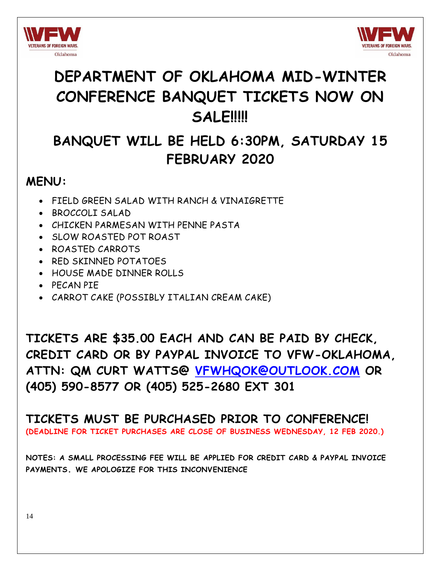



# **DEPARTMENT OF OKLAHOMA MID-WINTER CONFERENCE BANQUET TICKETS NOW ON SALE!!!!!**

## **BANQUET WILL BE HELD 6:30PM, SATURDAY 15 FEBRUARY 2020**

### **MENU:**

- FIELD GREEN SALAD WITH RANCH & VINAIGRETTE
- BROCCOLI SALAD
- CHICKEN PARMESAN WITH PENNE PASTA
- SLOW ROASTED POT ROAST
- ROASTED CARROTS
- RED SKINNED POTATOES
- HOUSE MADE DINNER ROLLS
- PECAN PIE
- CARROT CAKE (POSSIBLY ITALIAN CREAM CAKE)

**TICKETS ARE \$35.00 EACH AND CAN BE PAID BY CHECK, CREDIT CARD OR BY PAYPAL INVOICE TO VFW-OKLAHOMA, ATTN: QM CURT WATTS@ [VFWHQOK@OUTLOOK.COM](mailto:vfwhqok@outlook.com) OR (405) 590-8577 OR (405) 525-2680 EXT 301**

**TICKETS MUST BE PURCHASED PRIOR TO CONFERENCE! (DEADLINE FOR TICKET PURCHASES ARE CLOSE OF BUSINESS WEDNESDAY, 12 FEB 2020.)** 

**NOTES: A SMALL PROCESSING FEE WILL BE APPLIED FOR CREDIT CARD & PAYPAL INVOICE PAYMENTS. WE APOLOGIZE FOR THIS INCONVENIENCE**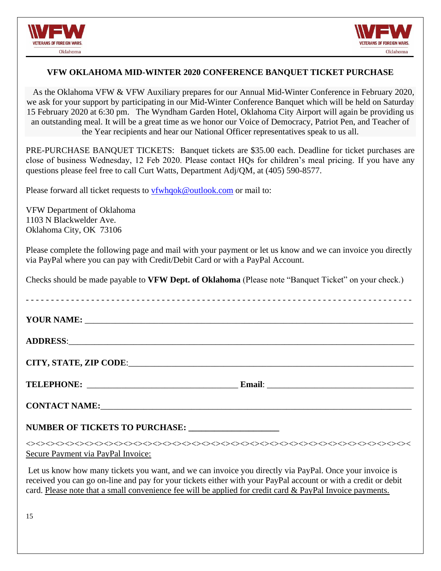



#### **VFW OKLAHOMA MID-WINTER 2020 CONFERENCE BANQUET TICKET PURCHASE**

 As the Oklahoma VFW & VFW Auxiliary prepares for our Annual Mid-Winter Conference in February 2020, we ask for your support by participating in our Mid-Winter Conference Banquet which will be held on Saturday 15 February 2020 at 6:30 pm. The Wyndham Garden Hotel, Oklahoma City Airport will again be providing us an outstanding meal. It will be a great time as we honor our Voice of Democracy, Patriot Pen, and Teacher of the Year recipients and hear our National Officer representatives speak to us all.

PRE-PURCHASE BANQUET TICKETS: Banquet tickets are \$35.00 each. Deadline for ticket purchases are close of business Wednesday, 12 Feb 2020. Please contact HQs for children's meal pricing. If you have any questions please feel free to call Curt Watts, Department Adj/QM, at (405) 590-8577.

Please forward all ticket requests to [vfwhqok@outlook.com](mailto:vfwhqok@outlook.com) or mail to:

VFW Department of Oklahoma 1103 N Blackwelder Ave. Oklahoma City, OK 73106

Please complete the following page and mail with your payment or let us know and we can invoice you directly via PayPal where you can pay with Credit/Debit Card or with a PayPal Account.

Checks should be made payable to **VFW Dept. of Oklahoma** (Please note "Banquet Ticket" on your check.)

| YOUR NAME:                                                                                                                                                                                                                                                                                                                             |
|----------------------------------------------------------------------------------------------------------------------------------------------------------------------------------------------------------------------------------------------------------------------------------------------------------------------------------------|
|                                                                                                                                                                                                                                                                                                                                        |
| CITY, STATE, ZIP CODE: University of the contract of the contract of the contract of the contract of the contract of the contract of the contract of the contract of the contract of the contract of the contract of the contr                                                                                                         |
|                                                                                                                                                                                                                                                                                                                                        |
|                                                                                                                                                                                                                                                                                                                                        |
| NUMBER OF TICKETS TO PURCHASE: _____________________                                                                                                                                                                                                                                                                                   |
| Secure Payment via PayPal Invoice:                                                                                                                                                                                                                                                                                                     |
| Let us know how many tickets you want, and we can invoice you directly via PayPal. Once your invoice is<br>received you can go on-line and pay for your tickets either with your PayPal account or with a credit or debit<br>card. Please note that a small convenience fee will be applied for credit card & PayPal Invoice payments. |

15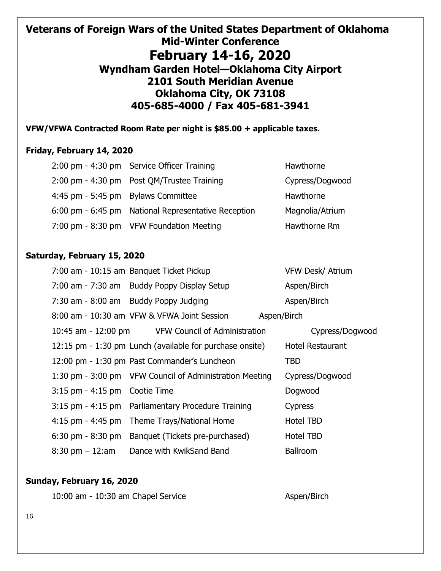### **Veterans of Foreign Wars of the United States Department of Oklahoma Mid-Winter Conference February 14-16, 2020 Wyndham Garden Hotel—Oklahoma City Airport 2101 South Meridian Avenue Oklahoma City, OK 73108 405-685-4000 / Fax 405-681-3941**

#### **VFW/VFWA Contracted Room Rate per night is \$85.00 + applicable taxes.**

#### **Friday, February 14, 2020**

|                                    | 2:00 pm - 4:30 pm Service Officer Training          | Hawthorne       |
|------------------------------------|-----------------------------------------------------|-----------------|
|                                    | 2:00 pm - 4:30 pm Post QM/Trustee Training          | Cypress/Dogwood |
| 4:45 pm - 5:45 pm Bylaws Committee |                                                     | Hawthorne       |
|                                    | 6:00 pm - 6:45 pm National Representative Reception | Magnolia/Atrium |
|                                    | 7:00 pm - 8:30 pm VFW Foundation Meeting            | Hawthorne Rm    |

#### **Saturday, February 15, 2020**

|                                  | 7:00 am - 10:15 am Banquet Ticket Pickup                 | <b>VFW Desk/ Atrium</b> |
|----------------------------------|----------------------------------------------------------|-------------------------|
|                                  | 7:00 am - 7:30 am Buddy Poppy Display Setup              | Aspen/Birch             |
|                                  | 7:30 am - 8:00 am Buddy Poppy Judging                    | Aspen/Birch             |
|                                  | 8:00 am - 10:30 am VFW & VFWA Joint Session              | Aspen/Birch             |
|                                  | 10:45 am - 12:00 pm VFW Council of Administration        | Cypress/Dogwood         |
|                                  | 12:15 pm - 1:30 pm Lunch (available for purchase onsite) | <b>Hotel Restaurant</b> |
|                                  | 12:00 pm - 1:30 pm Past Commander's Luncheon             | <b>TBD</b>              |
|                                  | 1:30 pm - 3:00 pm VFW Council of Administration Meeting  | Cypress/Dogwood         |
| $3:15$ pm $-4:15$ pm Cootie Time |                                                          | Dogwood                 |
|                                  | 3:15 pm - 4:15 pm Parliamentary Procedure Training       | <b>Cypress</b>          |
|                                  | 4:15 pm - 4:45 pm Theme Trays/National Home              | Hotel TBD               |
|                                  | 6:30 pm - 8:30 pm Banquet (Tickets pre-purchased)        | Hotel TBD               |
| $8:30 \text{ pm} - 12:\text{am}$ | Dance with KwikSand Band                                 | <b>Ballroom</b>         |

#### **Sunday, February 16, 2020**

| 10:00 am - 10:30 am Chapel Service |  |  |  |  |
|------------------------------------|--|--|--|--|
|------------------------------------|--|--|--|--|

Aspen/Birch